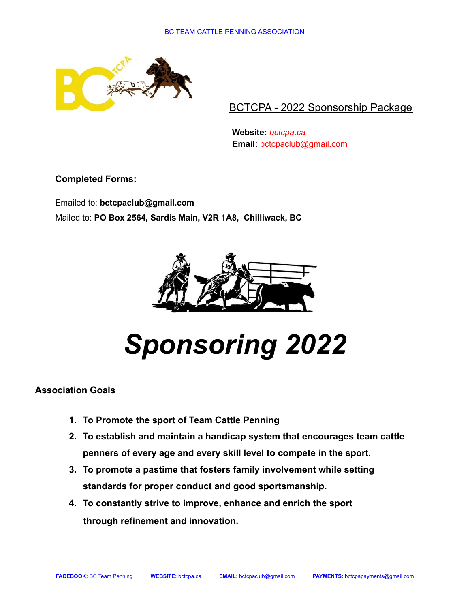

BCTCPA - 2022 Sponsorship Package

**Website:** *bctcpa.ca* **Email:** [bctcpaclub@gmail.com](mailto:bctcpaclub@gmail.com)

**Completed Forms:**

Emailed to: **[bctcpaclub@gmail.com](mailto:bctcpaclub@gmail.com)** Mailed to: **PO Box 2564, Sardis Main, V2R 1A8, Chilliwack, BC**



*Sponsoring 2022*

## **Association Goals**

- **1. To Promote the sport of Team Cattle Penning**
- **2. To establish and maintain a handicap system that encourages team cattle penners of every age and every skill level to compete in the sport.**
- **3. To promote a pastime that fosters family involvement while setting standards for proper conduct and good sportsmanship.**
- **4. To constantly strive to improve, enhance and enrich the sport through refinement and innovation.**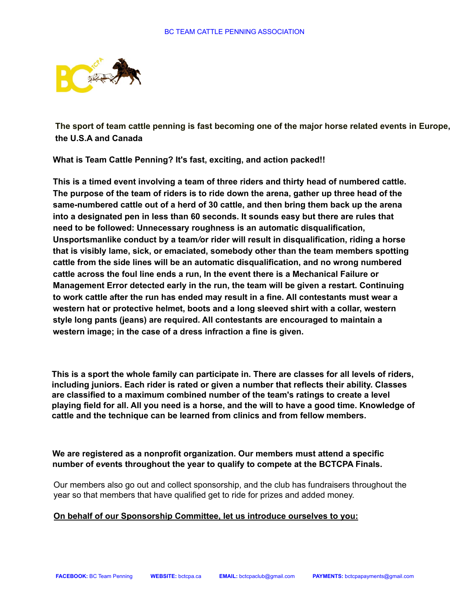

**The sport of team cattle penning is fast becoming one of the major horse related events in Europe, the U.S.A and Canada**

**What is Team Cattle Penning? It's fast, exciting, and action packed!!**

**This is a timed event involving a team of three riders and thirty head of numbered cattle. The purpose of the team of riders is to ride down the arena, gather up three head of the same-numbered cattle out of a herd of 30 cattle, and then bring them back up the arena into a designated pen in less than 60 seconds. It sounds easy but there are rules that need to be followed: Unnecessary roughness is an automatic disqualification, Unsportsmanlike conduct by a team***/***or rider will result in disqualification, riding a horse that is visibly lame, sick, or emaciated, somebody other than the team members spotting cattle from the side lines will be an automatic disqualification, and no wrong numbered cattle across the foul line ends a run, In the event there is a Mechanical Failure or Management Error detected early in the run, the team will be given a restart. Continuing to work cattle after the run has ended may result in a fine. All contestants must wear a western hat or protective helmet, boots and a long sleeved shirt with a collar, western style long pants (jeans) are required. All contestants are encouraged to maintain a western image; in the case of a dress infraction a fine is given.**

**This is a sport the whole family can participate in. There are classes for all levels of riders, including juniors. Each rider is rated or given a number that reflects their ability. Classes are classified to a maximum combined number of the team's ratings to create a level** playing field for all. All you need is a horse, and the will to have a good time. Knowledge of **cattle and the technique can be learned from clinics and from fellow members.**

**We are registered as a nonprofit organization. Our members must attend a specific number of e***v***ents throughout the year to qualify to compete at the BCTCPA Finals.**

Our members also go out and collect sponsorship, and the club has fundraisers throughout the year so that members that have qualified get to ride for prizes and added money.

### **On behalf of our Sponsorship Committee, let us introduce ourselves to you:**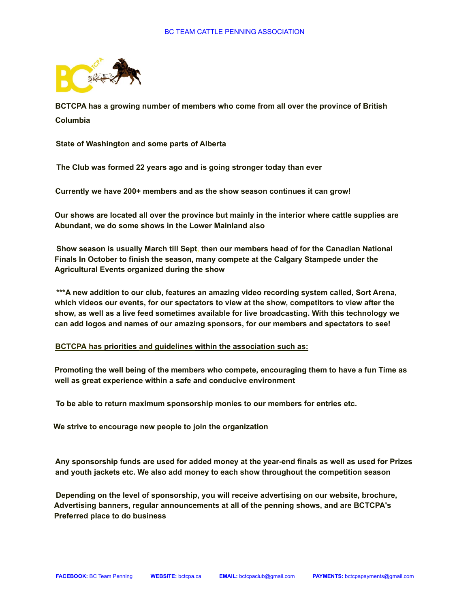

**BCTCPA has a growing number of members who come from all over the province of British Columbia**

**State of Washington and some parts of Alberta**

**The Club was formed 22 years ago and is going stronger today than ever**

**Currently we have 200+ members and as the show season continues it can grow!**

**Our shows are located all over the province but mainly in the interior where cattle supplies are Abundant, we do some shows in the Lower Mainland also**

**Show season is usually March till Sept, then our members head of for the Canadian National Finals In October to finish the season, many compete at the Calgary Stampede under the Agricultural Events organized during the show**

**\*\*\*A new addition to our club, features an amazing video recording system called, Sort Arena, which videos our events, for our spectators to view at the show, competitors to view after the show, as well as a live feed sometimes available for live broadcasting. With this technology we can add logos and names of our amazing sponsors, for our members and spectators to see!**

#### **BCTCPA has priorities and guidelines within the association such as:**

**Promoting the well being of the members who compete, encouraging them to have a fun Time as well as great experience within a safe and conducive environment**

**To be able to return maximum sponsorship monies to our members for entries etc.**

**We strive to encourage new people to join the organization**

**Any sponsorship funds are used for added money at the year-end finals as well as used for Prizes and youth jackets etc. We also add money to each show throughout the competition season**

**Depending on the level of sponsorship, you will receive advertising on our website, brochure, Advertising banners, regular announcements at all of the penning shows, and are BCTCPA's Preferred place to do business**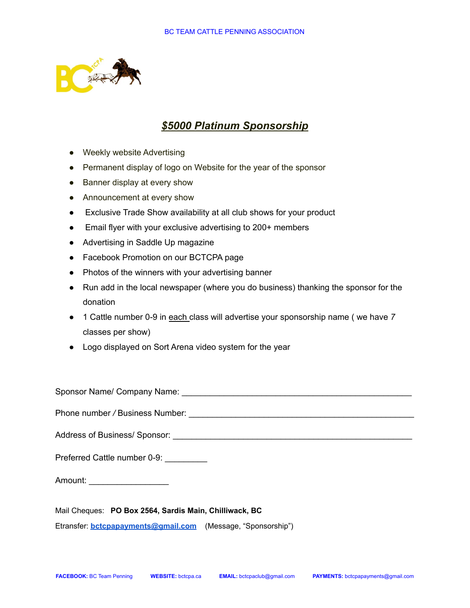

# *\$5000 Platinum Sponsorship*

- Weekly website Advertising
- Permanent display of logo on Website for the year of the sponsor
- Banner display at every show
- Announcement at every show
- Exclusive Trade Show availability at all club shows for your product
- Email flyer with your exclusive advertising to 200+ members
- Advertising in Saddle Up magazine
- Facebook Promotion on our BCTCPA page
- Photos of the winners with your advertising banner
- Run add in the local newspaper (where you do business) thanking the sponsor for the donation
- 1 Cattle number 0-9 in each class will advertise your sponsorship name ( we have *7* classes per show)
- Logo displayed on Sort Arena video system for the year

Sponsor Name/ Company Name: \_\_\_\_\_\_\_\_\_\_\_\_\_\_\_\_\_\_\_\_\_\_\_\_\_\_\_\_\_\_\_\_\_\_\_\_\_\_\_\_\_\_\_\_\_\_\_\_\_ Phone number */* Business Number: \_\_\_\_\_\_\_\_\_\_\_\_\_\_\_\_\_\_\_\_\_\_\_\_\_\_\_\_\_\_\_\_\_\_\_\_\_\_\_\_\_\_\_\_\_\_\_\_ Address of Business/ Sponsor: \_\_\_\_\_\_\_\_\_\_\_\_\_\_\_\_\_\_\_\_\_\_\_\_\_\_\_\_\_\_\_\_\_\_\_\_\_\_\_\_\_\_\_\_\_\_\_\_\_\_\_ Preferred Cattle number 0-9: Amount: \_\_\_\_\_\_\_\_\_\_\_\_\_\_\_\_\_\_\_\_\_\_

Mail Cheques: **PO Box 2564, Sardis Main, Chilliwack, BC** Etransfer: **[bctcpapayments@gmail.com](mailto:bctcpapayments@gmail.com)** (Message, "Sponsorship")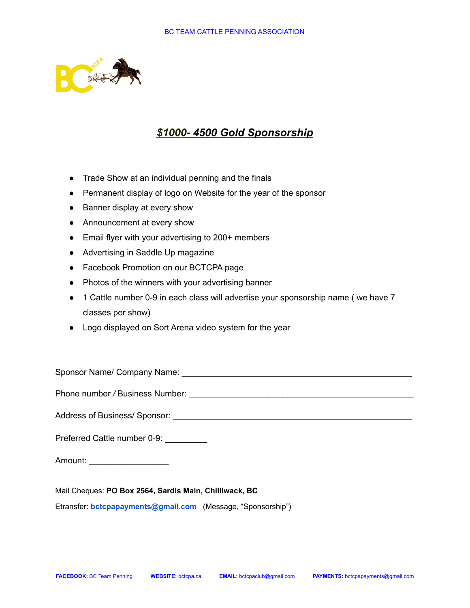

## *\$1000- 4500 Gold Sponsorship*

- Trade Show at an individual penning and the finals
- Permanent display of logo on Website for the year of the sponsor
- Banner display at every show
- Announcement at every show
- Email flyer with your advertising to 200+ members
- Advertising in Saddle Up magazine
- Facebook Promotion on our BCTCPA page
- Photos of the winners with your advertising banner
- 1 Cattle number 0-9 in each class will advertise your sponsorship name (we have 7 classes per show)
- Logo displayed on Sort Arena video system for the year

Sponsor Name/ Company Name:  $\Box$ 

Phone number / Business Number: **With an International Phone number** / Business Number:

Address of Business/ Sponsor: \_\_\_\_\_\_\_\_\_\_\_\_\_\_\_\_\_\_\_\_\_\_\_\_\_\_\_\_\_\_\_\_\_\_\_\_\_\_\_\_\_\_\_\_\_\_\_\_\_\_\_

Preferred Cattle number 0-9: \_\_\_\_\_\_\_\_\_

Amount:

Mail Cheques: **PO Box 2564, Sardis Main, Chilliwack, BC**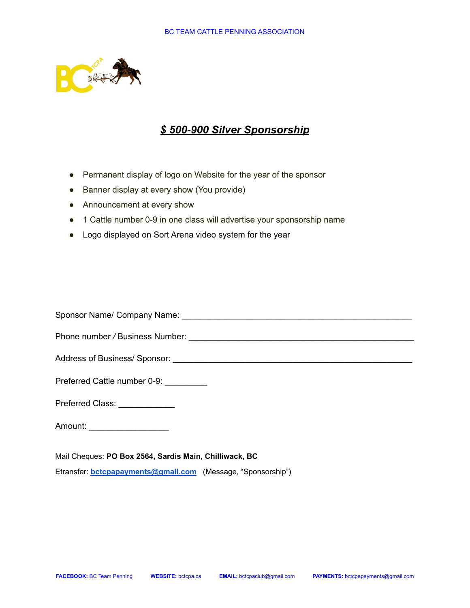

# *\$ 500-900 Silver Sponsorship*

- Permanent display of logo on Website for the year of the sponsor
- Banner display at every show (You provide)
- Announcement at every show
- 1 Cattle number 0-9 in one class will advertise your sponsorship name
- Logo displayed on Sort Arena video system for the year

Sponsor Name/ Company Name:  $\Box$ 

Phone number */* Business Number: \_\_\_\_\_\_\_\_\_\_\_\_\_\_\_\_\_\_\_\_\_\_\_\_\_\_\_\_\_\_\_\_\_\_\_\_\_\_\_\_\_\_\_\_\_\_\_\_

Address of Business/ Sponsor: \_\_\_\_\_\_\_\_\_\_\_\_\_\_\_\_\_\_\_\_\_\_\_\_\_\_\_\_\_\_\_\_\_\_\_\_\_\_\_\_\_\_\_\_\_\_\_\_\_\_\_

Preferred Cattle number 0-9:

Preferred Class: \_\_\_\_\_\_\_\_\_\_\_\_\_

Amount:

Mail Cheques: **PO Box 2564, Sardis Main, Chilliwack, BC**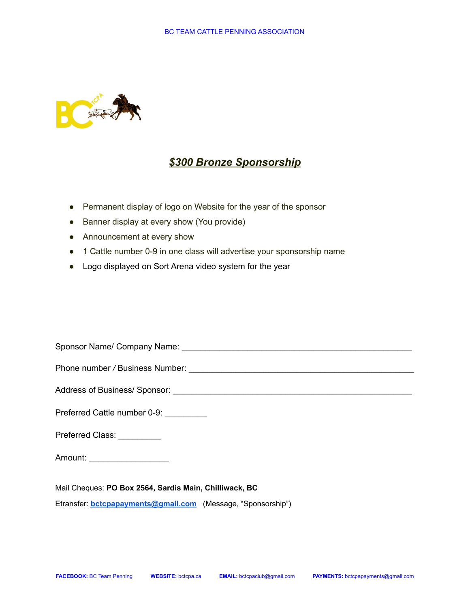

# *\$300 Bronze Sponsorship*

- Permanent display of logo on Website for the year of the sponsor
- Banner display at every show (You provide)
- Announcement at every show
- 1 Cattle number 0-9 in one class will advertise your sponsorship name
- Logo displayed on Sort Arena video system for the year

Sponsor Name/ Company Name: \_\_\_\_\_\_\_\_\_\_\_\_\_\_\_\_\_\_\_\_\_\_\_\_\_\_\_\_\_\_\_\_\_\_\_\_\_\_\_\_\_\_\_\_\_\_\_\_\_ Phone number */* Business Number: \_\_\_\_\_\_\_\_\_\_\_\_\_\_\_\_\_\_\_\_\_\_\_\_\_\_\_\_\_\_\_\_\_\_\_\_\_\_\_\_\_\_\_\_\_\_\_\_ Address of Business/ Sponsor: \_\_\_\_\_\_\_\_\_\_\_\_\_\_\_\_\_\_\_\_\_\_\_\_\_\_\_\_\_\_\_\_\_\_\_\_\_\_\_\_\_\_\_\_\_\_\_\_\_\_\_ Preferred Cattle number 0-9: Preferred Class:

Amount: \_\_\_\_\_\_\_\_\_\_\_\_\_\_\_\_\_\_\_\_

Mail Cheques: **PO Box 2564, Sardis Main, Chilliwack, BC**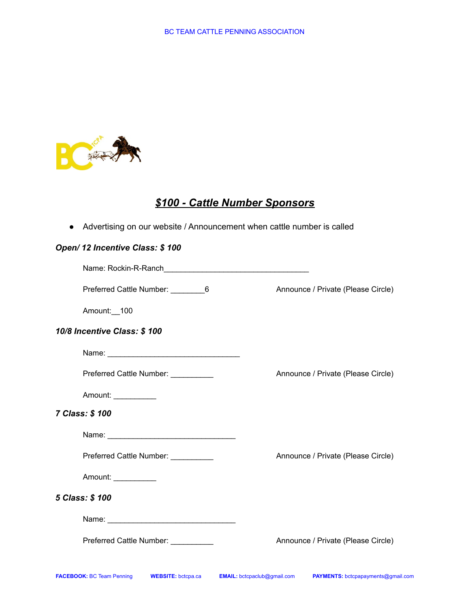

# *\$100 - Cattle Number Sponsors*

● Advertising on our website / Announcement when cattle number is called

## *Open/ 12 Incentive Class: \$ 100*

| Preferred Cattle Number: __________6 | Announce / Private (Please Circle) |
|--------------------------------------|------------------------------------|
| Amount:__100                         |                                    |
| 10/8 Incentive Class: \$100          |                                    |
|                                      |                                    |
| Preferred Cattle Number: __________  | Announce / Private (Please Circle) |
| Amount:                              |                                    |
| 7 Class: \$100                       |                                    |
|                                      |                                    |
| Preferred Cattle Number: _________   | Announce / Private (Please Circle) |
| Amount:                              |                                    |
| 5 Class: \$100                       |                                    |
|                                      |                                    |
| Preferred Cattle Number: __________  | Announce / Private (Please Circle) |
|                                      |                                    |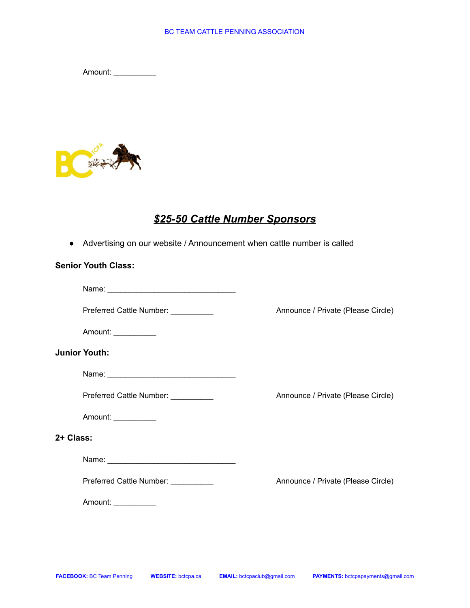Amount: \_\_\_\_\_\_\_\_\_\_



# *\$25-50 Cattle Number Sponsors*

● Advertising on our website / Announcement when cattle number is called

### **Senior Youth Class:**

| Name: |  |  |  |
|-------|--|--|--|
|       |  |  |  |

Preferred Cattle Number: \_\_\_\_\_\_\_\_\_\_ Announce / Private (Please Circle)

Amount: \_\_\_\_\_\_\_\_\_\_

#### **Junior Youth:**

| Name: |  |  |  |  |  |
|-------|--|--|--|--|--|
|       |  |  |  |  |  |

Preferred Cattle Number: \_\_\_\_\_\_\_\_\_\_ Announce / Private (Please Circle)

Amount: \_\_\_\_\_\_\_\_\_\_

#### **2+ Class:**

Name: \_\_\_\_\_\_\_\_\_\_\_\_\_\_\_\_\_\_\_\_\_\_\_\_\_\_\_\_\_\_

Preferred Cattle Number: \_\_\_\_\_\_\_\_\_\_ Announce / Private (Please Circle)

Amount: \_\_\_\_\_\_\_\_\_\_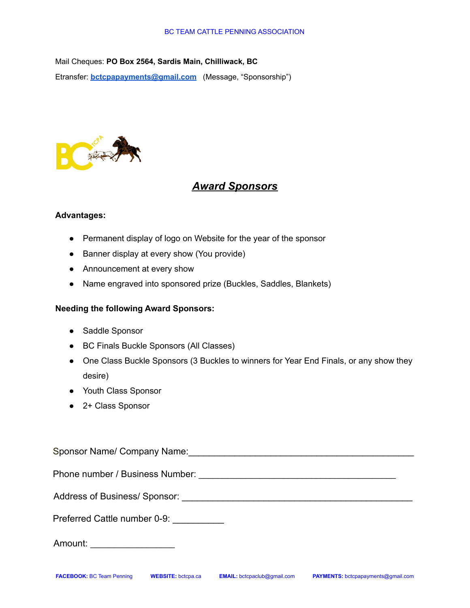#### BC TEAM CATTLE PENNING ASSOCIATION

Mail Cheques: **PO Box 2564, Sardis Main, Chilliwack, BC**

Etransfer: **[bctcpapayments@gmail.com](mailto:bctcpapayments@gmail.com)** (Message, "Sponsorship")



# *Award Sponsors*

### **Advantages:**

- Permanent display of logo on Website for the year of the sponsor
- Banner display at every show (You provide)
- Announcement at every show
- Name engraved into sponsored prize (Buckles, Saddles, Blankets)

### **Needing the following Award Sponsors:**

- Saddle Sponsor
- BC Finals Buckle Sponsors (All Classes)
- One Class Buckle Sponsors (3 Buckles to winners for Year End Finals, or any show they desire)
- Youth Class Sponsor
- 2+ Class Sponsor

| Sponsor Name/ Company Name: \\compan_{\sigma_{\sigma_{\sigma_{\sigma_{\sigma_{\sigma_{\sigma_{\sigma_{\sigma_{\sigma_{\sigma_{\sigma_{\sigma_{\sigma_{\sigma_{\sigma_{\sigma_{\sigma_{\sigma_{\sigma_{\sigma_{\sigma_{\sigma_{ |
|--------------------------------------------------------------------------------------------------------------------------------------------------------------------------------------------------------------------------------|
|                                                                                                                                                                                                                                |
| Address of Business/Sponsor: 2008 2009 2010 2010 2010 2011 2012 2013 2014 2016 2017 2018 2019 2019 2017 2018 20                                                                                                                |
| Preferred Cattle number 0-9:                                                                                                                                                                                                   |
| Amount: ____________________                                                                                                                                                                                                   |